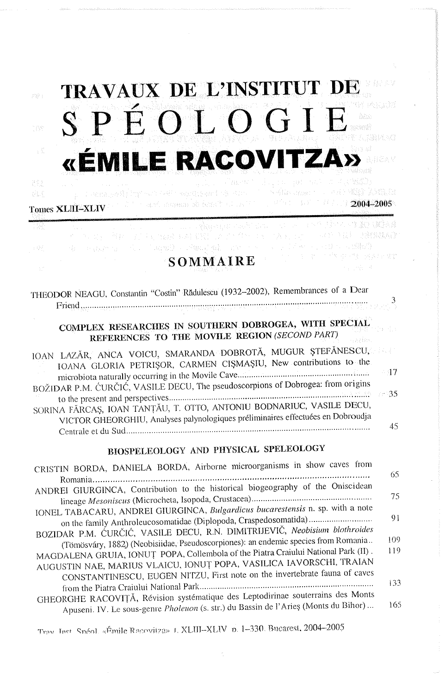$\psi_{22}^{(1)}$  :

전술소



2004-2005

ta shi ma uma s

化甲苯 学 计操作 计文件文件字

**コンロー 電報費** 

## «ÉMILE RACOVITZ

## **Tomes XLIII-XLIV**

SOMMAIRE

| THEODOR NEAGU, Constantin "Costin" Rădulescu (1932–2002), Remembrances of a Dear<br>$\mathbf{Friedd}_{\mathcal{R}_{\mathcal{U}}^{(1)}\cdots\mathcal{M}_{\mathcal{U}}^{(2)}}$                                                                                                                                                                                               |                              |
|----------------------------------------------------------------------------------------------------------------------------------------------------------------------------------------------------------------------------------------------------------------------------------------------------------------------------------------------------------------------------|------------------------------|
| COMPLEX RESEARCHES IN SOUTHERN DOBROGEA, WITH SPECIAL<br>REFERENCES TO THE MOVILE REGION (SECOND PART)                                                                                                                                                                                                                                                                     |                              |
| IOAN LAZĂR, ANCA VOICU, SMARANDA DOBROTĂ, MUGUR ȘTEFĂNESCU,<br>IOANA GLORIA PETRIŞOR, CARMEN CIŞMAŞIU, New contributions to the<br>BOŽIDAR P.M. ĆURČIĆ, VASILE DECU, The pseudoscorpions of Dobrogea: from origins<br>SORINA FĂRCAȘ, IOAN TANȚĂU, T. OTTO, ANTONIU BODNARIUC, VASILE DECU,                                                                                 | $-17$                        |
| VICTOR GHEORGHIU, Analyses palynologiques préliminaires effectuées en Dobroudja<br>BIOSPELEOLOGY AND PHYSICAL SPELEOLOGY                                                                                                                                                                                                                                                   | 45                           |
| CRISTIN BORDA, DANIELA BORDA, Airborne microorganisms in show caves from                                                                                                                                                                                                                                                                                                   | 65                           |
| ANDREI GIURGINCA, Contribution to the historical biogeography of the Oniscidean                                                                                                                                                                                                                                                                                            | 75                           |
| IONEL TABACARU, ANDREI GIURGINCA, Bulgardicus bucarestensis n. sp. with a note<br>on the family Anthroleucosomatidae (Diplopoda, Craspedosomatida)<br>BOZIDAR P.M. ĆURČIĆ, VASILE DECU, R.N. DIMITRIJEVIČ, Neobisium blothroides<br>(Tömösváry, 1882) (Neobisiidae, Pseudoscorpiones): an endemic species from Romania<br>a compared the state of the Medicine Double (II) | Q <sub>1</sub><br>109<br>11C |

| 65. |
|-----|
|     |
| 75. |
|     |
| 91  |
| 109 |
|     |
| 119 |
|     |
|     |
| 133 |
| 165 |
|     |

Trav Inst. Snéol. «Émile Racovitza» J. XLIII-XLIV p. 1-330. Bucarest, 2004-2005